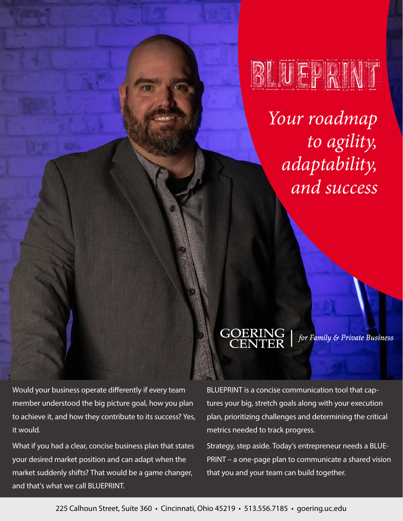

*Your roadmap to agility, adaptability, and success*

GOERING<br>CENTER

for Family & Private Business

Would your business operate differently if every team member understood the big picture goal, how you plan to achieve it, and how they contribute to its success? Yes, it would.

What if you had a clear, concise business plan that states your desired market position and can adapt when the market suddenly shifts? That would be a game changer, and that's what we call BLUEPRINT.

BLUEPRINT is a concise communication tool that captures your big, stretch goals along with your execution plan, prioritizing challenges and determining the critical metrics needed to track progress.

Strategy, step aside. Today's entrepreneur needs a BLUE-PRINT – a one-page plan to communicate a shared vision that you and your team can build together.